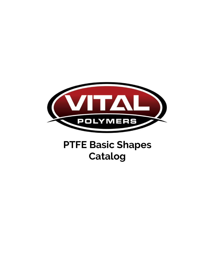

# **PTFE Basic Shapes Catalog**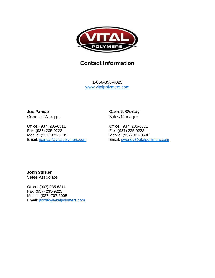

#### **Contact Information**

1-866-398-4825 [www.vitalpolymers.com](http://www.vitalpolymers.com/)

**Joe Pancar** General Manager

Office: (937) 235-6311 Fax: (937) 235-9223 Mobile: (937) 371-9195 Email: [jpancar@vitalpolymers.com](mailto:jpancar@vitalpolymers.com) **Garrett Worley**

Sales Manager

Office: (937) 235-6311 Fax: (937) 235-9223 Mobile: (937) 901-3536 Email: [gworley@vitalpolymers.com](mailto:gworley@vitalpolymers.com)

**John Stiffler** Sales Associate

Office: (937) 235-6311 Fax: (937) 235-9223 Mobile: (937) 707-8008 Email: [jstiffler@vitalpolymers.com](mailto:jstiffler@vitalpolymers.com)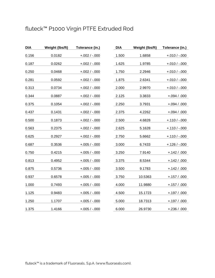# fluteck™ P1000 Virgin PTFE Extruded Rod

| <b>DIA</b> | Weight (lbs/ft) | Tolerance (in.)   | <b>DIA</b> | Weight (lbs/ft) | Tolerance (in.) |
|------------|-----------------|-------------------|------------|-----------------|-----------------|
| 0.156      | 0.0182          | $+.002 / -.000$   | 1.500      | 1.6858          | $+.010/-.000$   |
| 0.187      | 0.0262          | $+.002 / -.000$   | 1.625      | 1.9785          | $+.010/-.000$   |
| 0.250      | 0.0468          | $+.002 / -.000$   | 1.750      | 2.2946          | $+.010/-.000$   |
| 0.281      | 0.0592          | $+.002 / -.000$   | 1.875      | 2.6341          | $+.010/-.000$   |
| 0.313      | 0.0734          | $+.002 / -.000$   | 2.000      | 2.9970          | $+.010/-.000$   |
| 0.344      | 0.0887          | $+.002$ / $-.000$ | 2.125      | 3.3833          | $+.094/.000$    |
| 0.375      | 0.1054          | $+.002 / -.000$   | 2.250      | 3.7931          | $+.094 / .000$  |
| 0.437      | 0.1431          | $+.002 / -.000$   | 2.375      | 4.2262          | $+.094 / .000$  |
| 0.500      | 0.1873          | $+.002 / .000$    | 2.500      | 4.6828          | $+.110/-.000$   |
| 0.563      | 0.2375          | $+.002 / -.000$   | 2.625      | 5.1628          | $+.110/-.000$   |
| 0.625      | 0.2927          | $+.002 / -.000$   | 2.750      | 5.6662          | $+.110/-.000$   |
| 0.687      | 0.3536          | $+.005/ -.000$    | 3.000      | 6.7433          | $+.126/-.000$   |
| 0.750      | 0.4215          | $+.005/ -.000$    | 3.250      | 7.9140          | $+.142/.000$    |
| 0.813      | 0.4952          | $+.005/ -.000$    | 3.375      | 8.5344          | $+.142/.000$    |
| 0.875      | 0.5736          | $+.005/ -.000$    | 3.500      | 9.1783          | $+.142/.000$    |
| 0.937      | 0.6578          | $+.005/ -.000$    | 3.750      | 10.5363         | $+.157/.000$    |
| 1.000      | 0.7493          | $+.005/ -.000$    | 4.000      | 11.9880         | $+.157/.000$    |
| 1.125      | 0.9483          | $+.005/ -.000$    | 4.500      | 15.1723         | $+.197/.000$    |
| 1.250      | 1.1707          | $+.005/ -.000$    | 5.000      | 18.7313         | $+.197/.000$    |
| 1.375      | 1.4166          | $+.005/ -.000$    | 6.000      | 26.9730         | $+.236/.000$    |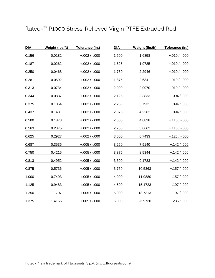# fluteck™ P1000 Stress-Relieved Virgin PTFE Extruded Rod

| <b>DIA</b> | Weight (lbs/ft) | Tolerance (in.) | <b>DIA</b> | Weight (lbs/ft) | Tolerance (in.) |
|------------|-----------------|-----------------|------------|-----------------|-----------------|
| 0.156      | 0.0182          | $+.002 / .000$  | 1.500      | 1.6858          | $+.010/ -.000$  |
| 0.187      | 0.0262          | $+.002 / -.000$ | 1.625      | 1.9785          | $+.010 / -.000$ |
| 0.250      | 0.0468          | $+.002 / -.000$ | 1.750      | 2.2946          | $+.010/ -.000$  |
| 0.281      | 0.0592          | $+.002/-.000$   | 1.875      | 2.6341          | $+.010/ -.000$  |
| 0.313      | 0.0734          | $+.002 / -.000$ | 2.000      | 2.9970          | $+.010/-.000$   |
| 0.344      | 0.0887          | $+.002 / -.000$ | 2.125      | 3.3833          | $+.094 / .000$  |
| 0.375      | 0.1054          | $+.002/-.000$   | 2.250      | 3.7931          | $+.094 / .000$  |
| 0.437      | 0.1431          | $+.002/-.000$   | 2.375      | 4.2262          | $+.094 / .000$  |
| 0.500      | 0.1873          | $+.002/-.000$   | 2.500      | 4.6828          | $+.110/-.000$   |
| 0.563      | 0.2375          | $+.002 / -.000$ | 2.750      | 5.6662          | $+.110/-.000$   |
| 0.625      | 0.2927          | $+.002 / -.000$ | 3.000      | 6.7433          | $+.126/ -.000$  |
| 0.687      | 0.3536          | $+.005/ -.000$  | 3.250      | 7.9140          | $+.142/.000$    |
| 0.750      | 0.4215          | $+.005/-.000$   | 3.375      | 8.5344          | $+.142/.000$    |
| 0.813      | 0.4952          | $+.005/-.000$   | 3.500      | 9.1783          | $+.142/.000$    |
| 0.875      | 0.5736          | $+.005/-.000$   | 3.750      | 10.5363         | $+.157/.000$    |
| 1.000      | 0.7493          | $+.005/ -.000$  | 4.000      | 11.9880         | $+.157/.000$    |
| 1.125      | 0.9483          | $+.005/-.000$   | 4.500      | 15.1723         | $+.197/.000$    |
| 1.250      | 1.1707          | $+.005/ -.000$  | 5.000      | 18.7313         | $+.197/.000$    |
| 1.375      | 1.4166          | $+.005/-.000$   | 6.000      | 26.9730         | $+.236/.000$    |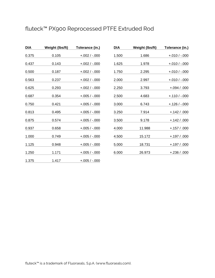# fluteck™ PX900 Reprocessed PTFE Extruded Rod

| DIA   | Weight (Ibs/ft) | Tolerance (in.) |
|-------|-----------------|-----------------|
| 0.375 | 0.105           | $+.002 / .000$  |
| 0.437 | 0.143           | $+.002 / .000$  |
| 0.500 | 0.187           | $+.002 / .000$  |
| 0.563 | 0.237           | $+.002/-000$    |
| 0.625 | 0.293           | $+.002/-000$    |
| 0.687 | 0.354           | $+.005 / .000$  |
| 0.750 | 0.421           | $+.005 / .000$  |
| 0.813 | 0.495           | $+.005/-.000$   |
| 0.875 | 0.574           | $+.005/-.000$   |
| 0.937 | 0.658           | $+.005/-.000$   |
| 1.000 | 0.749           | $+.005/-.000$   |
| 1.125 | 0.948           | $+.005 / .000$  |
| 1.250 | 1.171           | $+.005 / .000$  |
| 1.375 | 1.417           | $+.005/-.000$   |

| DIA   | Weight (lbs/ft) | Tolerance (in.) |
|-------|-----------------|-----------------|
| 1.500 | 1.686           | $+.010/-.000$   |
| 1.625 | 1.978           | $+.010/-.000$   |
| 1.750 | 2.295           | $+.010/-.000$   |
| 2.000 | 2.997           | $+.010/-.000$   |
| 2.250 | 3.793           | $+.094 / .000$  |
| 2.500 | 4.683           | $+.110/-.000$   |
| 3.000 | 6.743           | $+.126/ -.000$  |
| 3.250 | 7.914           | $+.142/.000$    |
| 3.500 | 9.178           | $+.142/.000$    |
| 4.000 | 11.988          | $+.157/.000$    |
| 4.500 | 15.172          | $+.197/.000$    |
| 5.000 | 18.731          | $+.197/.000$    |
| 6.000 | 26.973          | $+.236/.000$    |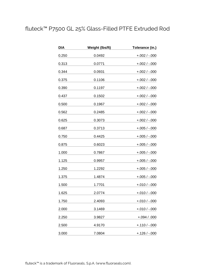# fluteck™ P7500 GL 25% Glass-Filled PTFE Extruded Rod

| DIA   | Weight (lbs/ft) | Tolerance (in.) |
|-------|-----------------|-----------------|
| 0.250 | 0.0492          | $+.002 / -.000$ |
| 0.313 | 0.0771          | $+.002 / -.000$ |
| 0.344 | 0.0931          | $+.002 / -.000$ |
| 0.375 | 0.1106          | $+.002 / -.000$ |
| 0.390 | 0.1197          | $+.002 / -.000$ |
| 0.437 | 0.1502          | $+.002 / -.000$ |
| 0.500 | 0.1967          | $+.002 / -.000$ |
| 0.562 | 0.2485          | $+.002/-.000$   |
| 0.625 | 0.3073          | $+.002 / -.000$ |
| 0.687 | 0.3713          | $+.005/-.000$   |
| 0.750 | 0.4425          | $+.005/-000$    |
| 0.875 | 0.6023          | $+.005/-.000$   |
| 1.000 | 0.7867          | $+.005/-.000$   |
| 1.125 | 0.9957          | $+.005/-.000$   |
| 1.250 | 1.2292          | $+.005/ -.000$  |
| 1.375 | 1.4874          | $+.005/ -.000$  |
| 1.500 | 1.7701          | $+.010 / -.000$ |
| 1.625 | 2.0774          | $+.010 / -.000$ |
| 1.750 | 2.4093          | $+.010 / -.000$ |
| 2.000 | 3.1469          | $+.010 / -.000$ |
| 2.250 | 3.9827          | $+.094 / .000$  |
| 2.500 | 4.9170          | $+.110 / -.000$ |
| 3.000 | 7.0804          | $+.126/ -.000$  |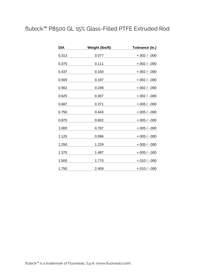# fluteck™ P8500 GL 15% Glass-Filled PTFE Extruded Rod

| DIA   | Weight (lbs/ft) | Tolerance (in.) |
|-------|-----------------|-----------------|
| 0.313 | 0.077           | $+.002 / -.000$ |
| 0.375 | 0.111           | $+.002 / -.000$ |
| 0.437 | 0.150           | $+.002 / -.000$ |
| 0.500 | 0.197           | $+.002 / -.000$ |
| 0.562 | 0.248           | $+.002 / -.000$ |
| 0.625 | 0.307           | $+.002/-.000$   |
| 0.687 | 0.371           | $+.005/ -.000$  |
| 0.750 | 0.443           | $+.005/ -.000$  |
| 0.875 | 0.602           | $+.005/-.000$   |
| 1.000 | 0.787           | $+.005/ -.000$  |
| 1.125 | 0.996           | $+.005/-.000$   |
| 1.250 | 1.229           | $+.005/ -.000$  |
| 1.375 | 1.487           | $+.005/-.000$   |
| 1.500 | 1.770           | $+.010/-.000$   |
| 1.750 | 2.409           | $+.010/-.000$   |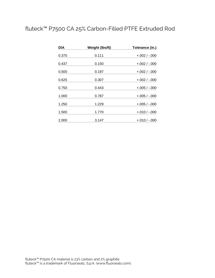#### fluteck™ P7500 CA 25% Carbon-Filled PTFE Extruded Rod

| DIA   | Weight (lbs/ft) | Tolerance (in.) |
|-------|-----------------|-----------------|
| 0.375 | 0.111           | $+.002/-.000$   |
| 0.437 | 0.150           | $+.002/-.000$   |
| 0.500 | 0.197           | $+.002/-.000$   |
| 0.625 | 0.307           | $+.002/-.000$   |
| 0.750 | 0.443           | $+.005/-.000$   |
| 1.000 | 0.787           | $+.005/-.000$   |
| 1.250 | 1.229           | $+.005/-.000$   |
| 1.500 | 1.770           | $+.010/-.000$   |
| 2.000 | 3.147           | $+.010/-.000$   |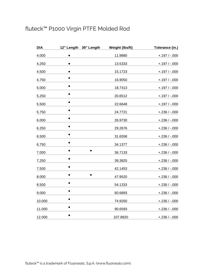# fluteck™ P1000 Virgin PTFE Molded Rod

| <b>DIA</b> | 12" Length 39" Length | Weight (lbs/ft) | Tolerance (in.) |
|------------|-----------------------|-----------------|-----------------|
| 4.000      | $\bullet$             | 11.9880         | $+.197/-.000$   |
| 4.250      | $\bullet$             | 13.5333         | $+.197/-.000$   |
| 4.500      |                       | 15.1723         | $+.197/-.000$   |
| 4.750      |                       | 16.9050         | $+.197/-.000$   |
| 5.000      |                       | 18.7313         | $+.197/-.000$   |
| 5.250      |                       | 20.6512         | $+.197/-.000$   |
| 5.500      |                       | 22.6648         | $+.197/-.000$   |
| 5.750      | $\bullet$             | 24.7721         | $+.236/-.000$   |
| 6.000      | $\bullet$             | 26.9730         | $+.236/-.000$   |
| 6.250      |                       | 29.2676         | $+.236/-.000$   |
| 6.500      |                       | 31.6558         | $+.236/-.000$   |
| 6.750      |                       | 34.1377         | $+.236/-.000$   |
| 7.000      |                       | 36.7133         | $+.236/-.000$   |
| 7.250      |                       | 39.3825         | $+.236/-.000$   |
| 7.500      |                       | 42.1453         | $+.236/-.000$   |
| 8.000      |                       | 47.9520         | $+.236/-.000$   |
| 8.500      |                       | 54.1333         | $+.236/-.000$   |
| 9.000      | $\bullet$             | 60.6893         | $+.236/-.000$   |
| 10.000     |                       | 74.9250         | $+.236/-.000$   |
| 11.000     |                       | 90.6593         | $+.236/-.000$   |
| 12.000     |                       | 107.8920        | $+.236/-.000$   |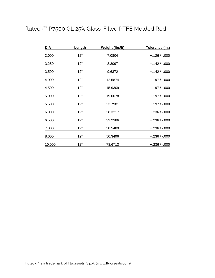# fluteck™ P7500 GL 25% Glass-Filled PTFE Molded Rod

| <b>DIA</b> | Length | Weight (lbs/ft) | Tolerance (in.) |
|------------|--------|-----------------|-----------------|
| 3.000      | 12"    | 7.0804          | $+.126/-.000$   |
| 3.250      | 12"    | 8.3097          | $+.142/-.000$   |
| 3.500      | 12"    | 9.6372          | $+.142/-.000$   |
| 4.000      | 12"    | 12.5874         | +.197 / -.000   |
| 4.500      | 12"    | 15.9309         | $+.197/-.000$   |
| 5.000      | 12"    | 19.6678         | $+.197/-.000$   |
| 5.500      | 12"    | 23.7981         | $+.197/-.000$   |
| 6.000      | 12"    | 28.3217         | $+.236/-.000$   |
| 6.500      | 12"    | 33.2386         | $+.236/-.000$   |
| 7.000      | 12"    | 38.5489         | $+.236/-.000$   |
| 8.000      | 12"    | 50.3496         | $+.236/-.000$   |
| 10.000     | 12"    | 78.6713         | $+.236/-.000$   |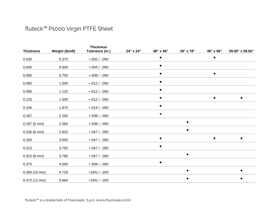#### fluteck™ P1000 Virgin PTFE Sheet

|                       |                 | <b>Thickness</b> |           |           |           |           |                 |
|-----------------------|-----------------|------------------|-----------|-----------|-----------|-----------|-----------------|
| <b>Thickness</b>      | Weight (lb/sft) | Tolerance (in.)  | 24" x 24" | 48" x 48" | 39" x 78" | 48" x 96" | 59.50" x 59.50" |
| 0.030                 | 0.375           | $+.002 / .000$   |           |           |           |           |                 |
| 0.040                 | 0.500           | $+.004/-.000$    |           | $\bullet$ |           |           |                 |
| 0.060                 | 0.750           | $+.008 / -.000$  |           |           |           |           |                 |
| 0.080                 | 1.000           | $+.012/-.000$    |           | $\bullet$ |           |           |                 |
| 0.090                 | 1.125           | $+.012/-.000$    |           | $\bullet$ |           |           |                 |
| 0.125                 | 1.500           | $+.012/-.000$    |           | $\bullet$ |           | $\bullet$ |                 |
| 0.156                 | 1.875           | $+.014/-.000$    |           |           |           |           |                 |
| 0.187                 | 2.250           | $+.039/-.000$    |           |           |           |           |                 |
| $0.197(5 \text{ mm})$ | 2.364           | $+.039/-.000$    |           |           |           |           |                 |
| $0.236(6 \text{ mm})$ | 2.832           | $+.047/-.000$    |           |           |           |           |                 |
| 0.250                 | 3.000           | $+.047/-.000$    |           | $\bullet$ |           | $\bullet$ |                 |
| 0.313                 | 3.750           | $+.047/-.000$    |           | $\bullet$ |           |           |                 |
| $0.315(8 \text{ mm})$ | 3.780           | $+.047/-.000$    |           |           |           |           |                 |
| 0.375                 | 4.500           | $+.059/-.000$    |           | $\bullet$ |           |           |                 |
| $0.394(10$ mm)        | 4.728           | $+15\%$ / -.000  |           |           |           |           |                 |
| $0.472(12$ mm)        | 5.664           | $+15\%$ / -.000  |           |           |           |           |                 |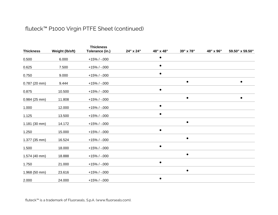#### fluteck™ P1000 Virgin PTFE Sheet (continued)

|                        |                 | <b>Thickness</b> |           |           |           |           |                 |
|------------------------|-----------------|------------------|-----------|-----------|-----------|-----------|-----------------|
| <b>Thickness</b>       | Weight (lb/sft) | Tolerance (in.)  | 24" x 24" | 48" x 48" | 39" x 78" | 48" x 96" | 59.50" x 59.50" |
| 0.500                  | 6.000           | $+15\%$ / -.000  |           | $\bullet$ |           |           |                 |
| 0.625                  | 7.500           | $+15\%$ / $-000$ |           |           |           |           |                 |
| 0.750                  | 9.000           | $+15\%$ / $-000$ |           |           |           |           |                 |
| $0.787(20$ mm)         | 9.444           | $+15\%$ / -.000  |           |           | $\bullet$ |           |                 |
| 0.875                  | 10.500          | $+15\%$ / -.000  |           |           |           |           |                 |
| $0.984(25$ mm)         | 11.808          | $+15\%$ / -.000  |           |           | $\bullet$ |           | $\bullet$       |
| 1.000                  | 12.000          | $+15\%$ / -.000  |           |           |           |           |                 |
| 1.125                  | 13.500          | $+15\%$ / -.000  |           |           |           |           |                 |
| $1.181(30 \text{ mm})$ | 14.172          | $+15\%$ / -.000  |           |           | $\bullet$ |           |                 |
| 1.250                  | 15.000          | $+15\%$ / -.000  |           |           |           |           |                 |
| 1.377 (35 mm)          | 16.524          | $+15\%$ / -.000  |           |           | $\bullet$ |           |                 |
| 1.500                  | 18.000          | $+15\%$ / $-000$ |           |           |           |           |                 |
| 1.574 (40 mm)          | 18.888          | $+15\%$ / $-000$ |           |           |           |           |                 |
| 1.750                  | 21.000          | $+15\%$ / -.000  |           | $\bullet$ |           |           |                 |
| 1.968 (50 mm)          | 23.616          | $+15\%$ / -.000  |           |           | $\bullet$ |           |                 |
| 2.000                  | 24.000          | $+15\%$ / -.000  |           | $\bullet$ |           |           |                 |

fluteck™ is a trademark of Fluorseals, S.p.A. (www.fluorseals.com).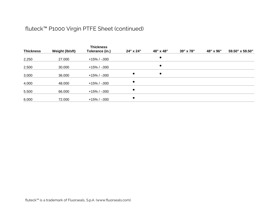#### fluteck™ P1000 Virgin PTFE Sheet (continued)

|                  |                 | <b>Thickness</b> |           |           |           |           |                 |
|------------------|-----------------|------------------|-----------|-----------|-----------|-----------|-----------------|
| <b>Thickness</b> | Weight (lb/sft) | Tolerance (in.)  | 24" x 24" | 48" x 48" | 39" x 78" | 48" x 96" | 59.50" x 59.50" |
| 2.250            | 27.000          | +15% / -.000     |           | $\bullet$ |           |           |                 |
| 2.500            | 30.000          | $+15\%$ / -.000  |           | $\bullet$ |           |           |                 |
| 3.000            | 36.000          | $+15\%$ / -.000  | $\bullet$ | $\bullet$ |           |           |                 |
| 4.000            | 48.000          | +15% / -.000     | $\bullet$ |           |           |           |                 |
| 5.500            | 66.000          | $+15\%$ / -.000  | $\bullet$ |           |           |           |                 |
| 6.000            | 72.000          | +15% / -.000     | $\bullet$ |           |           |           |                 |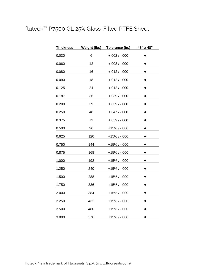#### fluteck™ P7500 GL 25% Glass-Filled PTFE Sheet

| <b>Thickness</b> | <b>Weight (lbs)</b> | Tolerance (in.) | 48" x 48" |  |
|------------------|---------------------|-----------------|-----------|--|
| 0.030            | 6                   | $+.002 / .000$  |           |  |
| 0.060            | 12                  | $+.008 / -.000$ |           |  |
| 0.080            | 16                  | $+.012/-.000$   |           |  |
| 0.090            | 18                  | $+.012 / -.000$ |           |  |
| 0.125            | 24                  | $+.012/-.000$   |           |  |
| 0.187            | 36                  | $+.039/ -.000$  |           |  |
| 0.200            | 39                  | $+.039/ -.000$  |           |  |
| 0.250            | 48                  | $+.047/ -.000$  |           |  |
| 0.375            | 72                  | $+.059/-.000$   |           |  |
| 0.500            | 96                  | +15% / -.000    |           |  |
| 0.625            | 120                 | $+15\%$ / -.000 |           |  |
| 0.750            | 144                 | +15% / -.000    |           |  |
| 0.875            | 168                 | $+15\%$ / -.000 |           |  |
| 1.000            | 192                 | $+15\%$ / -.000 |           |  |
| 1.250            | 240                 | $+15% / -000$   |           |  |
| 1.500            | 288                 | +15% / -.000    |           |  |
| 1.750            | 336                 | $+15\%$ / -.000 |           |  |
| 2.000            | 384                 | $+15\%$ / -.000 |           |  |
| 2.250            | 432                 | +15% / -.000    |           |  |
| 2.500            | 480                 | $+15\%$ / -.000 |           |  |
| 3.000            | 576                 | $+15\%$ / -.000 |           |  |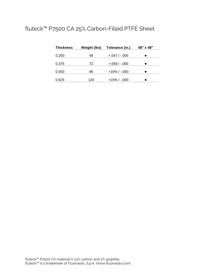#### fluteck™ P7500 CA 25% Carbon-Filled PTFE Sheet

| <b>Thickness</b> | Weight (lbs) | Tolerance (in.) | 48" x 48" |
|------------------|--------------|-----------------|-----------|
| 0.250            | 48           | $+.047/-.000$   |           |
| 0.375            | 72           | $+.059/-.000$   |           |
| 0.500            | 96           | $+15\%$ / -.000 |           |
| 0.625            | 120          | $+15\%$ / -.000 |           |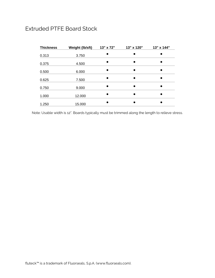#### Extruded PTFE Board Stock

| <b>Thickness</b> | Weight (lb/sft) | 13" x 72" | 13" x 120" | 13" x 144" |
|------------------|-----------------|-----------|------------|------------|
| 0.313            | 3.750           |           |            |            |
| 0.375            | 4.500           |           | $\bullet$  |            |
| 0.500            | 6.000           |           | $\bullet$  | ٠          |
| 0.625            | 7.500           |           | $\bullet$  | ۰          |
| 0.750            | 9.000           |           | $\bullet$  | ٠          |
| 1.000            | 12.000          |           | $\bullet$  | ●          |
| 1.250            | 15.000          |           | $\bullet$  |            |

Note: Usable width is 12". Boards typically must be trimmed along the length to relieve stress.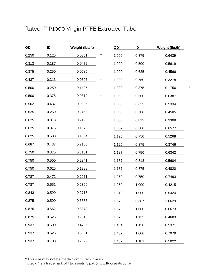# fluteck™ P1000 Virgin PTFE Extruded Tube

| OD    | ID    | Weight (Ibs/ft) |   |
|-------|-------|-----------------|---|
| 0.250 | 0.125 | 0.0351          | * |
| 0.313 | 0.187 | 0.0472          | * |
| 0.375 | 0.250 | 0.0585          | * |
| 0.437 | 0.313 | 0.0697          | * |
| 0.500 | 0.250 | 0.1405          |   |
| 0.500 | 0.375 | 0.0819          | * |
| 0.562 | 0.437 | 0.0936          |   |
| 0.625 | 0.250 | 0.2458          |   |
| 0.625 | 0.313 | 0.2193          |   |
| 0.625 | 0.375 | 0.1873          |   |
| 0.625 | 0.500 | 0.1054          |   |
| 0.687 | 0.437 | 0.2105          |   |
| 0.750 | 0.375 | 0.3161          |   |
| 0.750 | 0.500 | 0.2341          |   |
| 0.750 | 0.625 | 0.1288          |   |
| 0.787 | 0.472 | 0.2971          |   |
| 0.787 | 0.551 | 0.2366          |   |
| 0.843 | 0.590 | 0.2716          |   |
| 0.875 | 0.500 | 0.3863          |   |
| 0.875 | 0.562 | 0.3370          |   |
| 0.875 | 0.625 | 0.2810          |   |
| 0.937 | 0.500 | 0.4705          |   |
| 0.937 | 0.625 | 0.3651          |   |
| 0.937 | 0.708 | 0.2822          |   |

| OD    | ID    | Weight (lbs/ft) |
|-------|-------|-----------------|
| 1.000 | 0.375 | 0.6439          |
| 1.000 | 0.500 | 0.5619          |
| 1.000 | 0.625 | 0.4566          |
| 1.000 | 0.750 | 0.3278          |
| 1.000 | 0.875 | 0.1756          |
| 1.050 | 0.500 | 0.6387          |
| 1.050 | 0.625 | 0.5334          |
| 1.050 | 0.708 | 0.4505          |
| 1.050 | 0.813 | 0.3308          |
| 1.062 | 0.500 | 0.6577          |
| 1.125 | 0.750 | 0.5268          |
| 1.125 | 0.875 | 0.3746          |
| 1.187 | 0.750 | 0.6342          |
| 1.187 | 0.813 | 0.5604          |
| 1.187 | 0.875 | 0.4820          |
| 1.250 | 0.750 | 0.7493          |
| 1.250 | 1.000 | 0.4215          |
| 1.313 | 1.000 | 0.5424          |
| 1.375 | 0.687 | 1.0629          |
| 1.375 | 1.000 | 0.6673          |
| 1.375 | 1.125 | 0.4683          |
| 1.404 | 1.120 | 0.5371          |
| 1.437 | 1.000 | 0.7979          |
| 1.437 | 1.181 | 0.5022          |

\* This size may not be made from fluteck™ resin.

fluteck™ is a trademark of Fluorseals, S.p.A. (www.fluorseals.com).